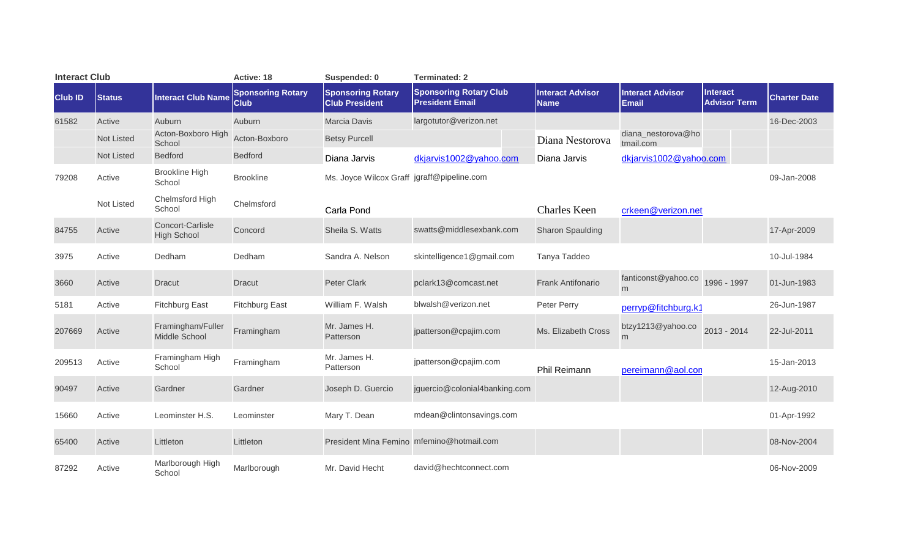| <b>Interact Club</b> |                   |                                        | Active: 18                              | Suspended: 0                                      | <b>Terminated: 2</b>                                    |                                        |                                         |                                        |                     |
|----------------------|-------------------|----------------------------------------|-----------------------------------------|---------------------------------------------------|---------------------------------------------------------|----------------------------------------|-----------------------------------------|----------------------------------------|---------------------|
| <b>Club ID</b>       | <b>Status</b>     | <b>Interact Club Name</b>              | <b>Sponsoring Rotary</b><br><b>Club</b> | <b>Sponsoring Rotary</b><br><b>Club President</b> | <b>Sponsoring Rotary Club</b><br><b>President Email</b> | <b>Interact Advisor</b><br><b>Name</b> | <b>Interact Advisor</b><br><b>Email</b> | <b>Interact</b><br><b>Advisor Term</b> | <b>Charter Date</b> |
| 61582                | Active            | Auburn                                 | Auburn                                  | <b>Marcia Davis</b>                               | largotutor@verizon.net                                  |                                        |                                         |                                        | 16-Dec-2003         |
|                      | <b>Not Listed</b> | Acton-Boxboro High<br>School           | Acton-Boxboro                           | <b>Betsy Purcell</b>                              |                                                         | Diana Nestorova                        | diana nestorova@ho<br>tmail.com         |                                        |                     |
|                      | <b>Not Listed</b> | <b>Bedford</b>                         | <b>Bedford</b>                          | Diana Jarvis                                      | dkjarvis1002@yahoo.com                                  | Diana Jarvis                           | dkjarvis1002@yahoo.com                  |                                        |                     |
| 79208                | Active            | <b>Brookline High</b><br>School        | <b>Brookline</b>                        | Ms. Joyce Wilcox Graff jgraff@pipeline.com        |                                                         |                                        |                                         |                                        | 09-Jan-2008         |
|                      | Not Listed        | Chelmsford High<br>School              | Chelmsford                              | Carla Pond                                        |                                                         | <b>Charles Keen</b>                    | crkeen@verizon.net                      |                                        |                     |
| 84755                | Active            | Concort-Carlisle<br><b>High School</b> | Concord                                 | Sheila S. Watts                                   | swatts@middlesexbank.com                                | <b>Sharon Spaulding</b>                |                                         |                                        | 17-Apr-2009         |
| 3975                 | Active            | Dedham                                 | Dedham                                  | Sandra A. Nelson                                  | skintelligence1@gmail.com                               | Tanya Taddeo                           |                                         |                                        | 10-Jul-1984         |
| 3660                 | Active            | <b>Dracut</b>                          | <b>Dracut</b>                           | Peter Clark                                       | pclark13@comcast.net                                    | <b>Frank Antifonario</b>               | fanticonst@yahoo.co<br>m                | 1996 - 1997                            | 01-Jun-1983         |
| 5181                 | Active            | <b>Fitchburg East</b>                  | <b>Fitchburg East</b>                   | William F. Walsh                                  | blwalsh@verizon.net                                     | Peter Perry                            | perryp@fitchburg.k1                     |                                        | 26-Jun-1987         |
| 207669               | Active            | Framingham/Fuller<br>Middle School     | Framingham                              | Mr. James H.<br>Patterson                         | jpatterson@cpajim.com                                   | Ms. Elizabeth Cross                    | btzy1213@yahoo.co<br>m                  | 2013 - 2014                            | 22-Jul-2011         |
| 209513               | Active            | Framingham High<br>School              | Framingham                              | Mr. James H.<br>Patterson                         | jpatterson@cpajim.com                                   | Phil Reimann                           | pereimann@aol.con                       |                                        | 15-Jan-2013         |
| 90497                | Active            | Gardner                                | Gardner                                 | Joseph D. Guercio                                 | jguercio@colonial4banking.com                           |                                        |                                         |                                        | 12-Aug-2010         |
| 15660                | Active            | Leominster H.S.                        | Leominster                              | Mary T. Dean                                      | mdean@clintonsavings.com                                |                                        |                                         |                                        | 01-Apr-1992         |
| 65400                | Active            | Littleton                              | Littleton                               |                                                   | President Mina Femino mfemino@hotmail.com               |                                        |                                         |                                        | 08-Nov-2004         |
| 87292                | Active            | Marlborough High<br>School             | Marlborough                             | Mr. David Hecht                                   | david@hechtconnect.com                                  |                                        |                                         |                                        | 06-Nov-2009         |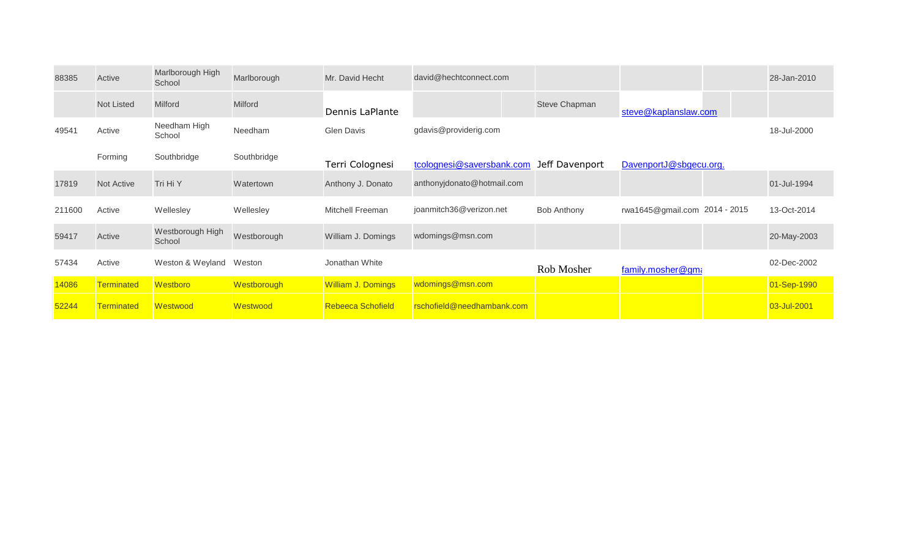| 88385  | Active            | Marlborough High<br>School | Marlborough | Mr. David Hecht           | david@hechtconnect.com     |                |                               | 28-Jan-2010 |
|--------|-------------------|----------------------------|-------------|---------------------------|----------------------------|----------------|-------------------------------|-------------|
|        | Not Listed        | <b>Milford</b>             | Milford     | Dennis LaPlante           |                            | Steve Chapman  | steve@kaplanslaw.com          |             |
| 49541  | Active            | Needham High<br>School     | Needham     | <b>Glen Davis</b>         | gdavis@providerig.com      |                |                               | 18-Jul-2000 |
|        | Forming           | Southbridge                | Southbridge | Terri Colognesi           | tcolognesi@saversbank.com  | Jeff Davenport | DavenportJ@sbgecu.org.        |             |
| 17819  | <b>Not Active</b> | Tri Hi Y                   | Watertown   | Anthony J. Donato         | anthonyjdonato@hotmail.com |                |                               | 01-Jul-1994 |
| 211600 | Active            | Wellesley                  | Wellesley   | Mitchell Freeman          | joanmitch36@verizon.net    | Bob Anthony    | rwa1645@gmail.com 2014 - 2015 | 13-Oct-2014 |
| 59417  | Active            | Westborough High<br>School | Westborough | William J. Domings        | wdomings@msn.com           |                |                               | 20-May-2003 |
| 57434  | Active            | Weston & Weyland Weston    |             | Jonathan White            |                            | Rob Mosher     | family.mosher@gma             | 02-Dec-2002 |
| 14086  | <b>Terminated</b> | Westboro                   | Westborough | <b>William J. Domings</b> | wdomings@msn.com           |                |                               | 01-Sep-1990 |
| 52244  | <b>Terminated</b> | Westwood                   | Westwood    | Rebeeca Schofield         | rschofield@needhambank.com |                |                               | 03-Jul-2001 |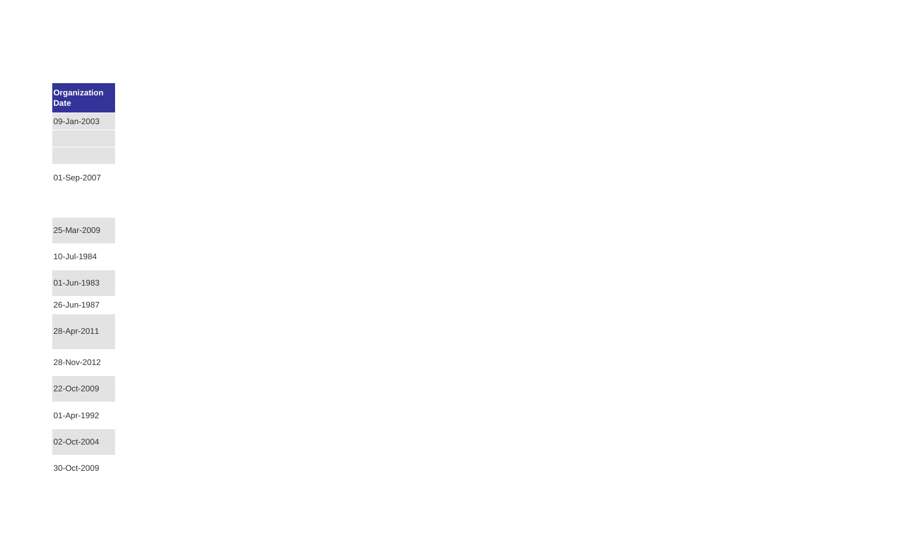

09-Jan-2003

01-Sep-2007

25-Mar-2009

10-Jul-1984

01-Jun-1983

26-Jun-1987

28-Apr-2011

28-Nov-2012

22-Oct-2009

01-Apr-1992

02-Oct-2004

30-Oct-2009